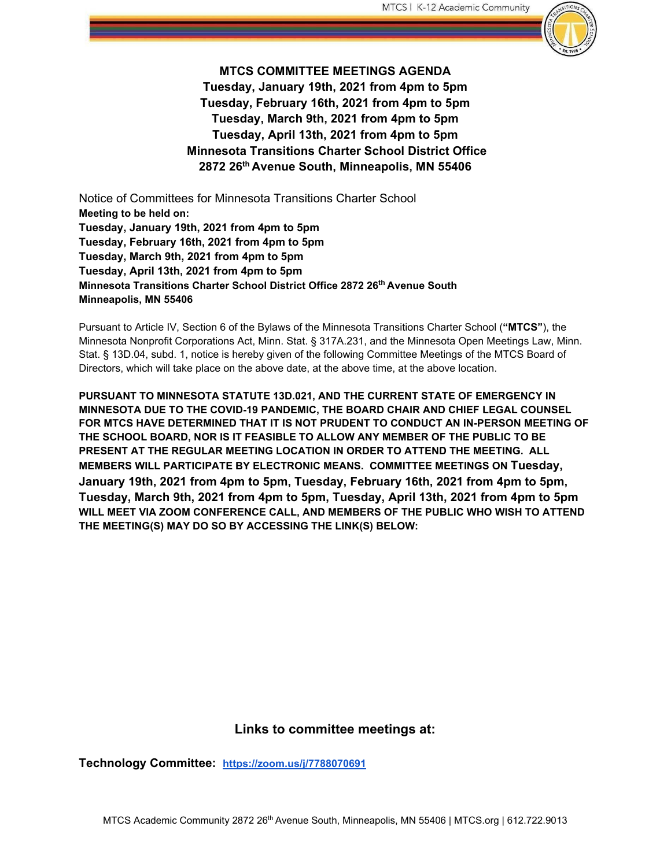

**MTCS COMMITTEE MEETINGS AGENDA Tuesday, January 19th, 2021 from 4pm to 5pm Tuesday, February 16th, 2021 from 4pm to 5pm Tuesday, March 9th, 2021 from 4pm to 5pm Tuesday, April 13th, 2021 from 4pm to 5pm Minnesota Transitions Charter School District Office 2872 26th Avenue South, Minneapolis, MN 55406** 

Notice of Committees for Minnesota Transitions Charter School **Meeting to be held on: Tuesday, January 19th, 2021 from 4pm to 5pm Tuesday, February 16th, 2021 from 4pm to 5pm Tuesday, March 9th, 2021 from 4pm to 5pm Tuesday, April 13th, 2021 from 4pm to 5pm Minnesota Transitions Charter School District Office 2872 26th Avenue South Minneapolis, MN 55406** 

Pursuant to Article IV, Section 6 of the Bylaws of the Minnesota Transitions Charter School (**"MTCS"**), the Minnesota Nonprofit Corporations Act, Minn. Stat. § 317A.231, and the Minnesota Open Meetings Law, Minn. Stat. § 13D.04, subd. 1, notice is hereby given of the following Committee Meetings of the MTCS Board of Directors, which will take place on the above date, at the above time, at the above location.

**PURSUANT TO MINNESOTA STATUTE 13D.021, AND THE CURRENT STATE OF EMERGENCY IN MINNESOTA DUE TO THE COVID-19 PANDEMIC, THE BOARD CHAIR AND CHIEF LEGAL COUNSEL FOR MTCS HAVE DETERMINED THAT IT IS NOT PRUDENT TO CONDUCT AN IN-PERSON MEETING OF THE SCHOOL BOARD, NOR IS IT FEASIBLE TO ALLOW ANY MEMBER OF THE PUBLIC TO BE PRESENT AT THE REGULAR MEETING LOCATION IN ORDER TO ATTEND THE MEETING. ALL MEMBERS WILL PARTICIPATE BY ELECTRONIC MEANS. COMMITTEE MEETINGS ON Tuesday, January 19th, 2021 from 4pm to 5pm, Tuesday, February 16th, 2021 from 4pm to 5pm, Tuesday, March 9th, 2021 from 4pm to 5pm, Tuesday, April 13th, 2021 from 4pm to 5pm WILL MEET VIA ZOOM CONFERENCE CALL, AND MEMBERS OF THE PUBLIC WHO WISH TO ATTEND THE MEETING(S) MAY DO SO BY ACCESSING THE LINK(S) BELOW:** 

#### **Links to committee meetings at:**

**Technology Committee: <https://zoom.us/j/7788070691>**